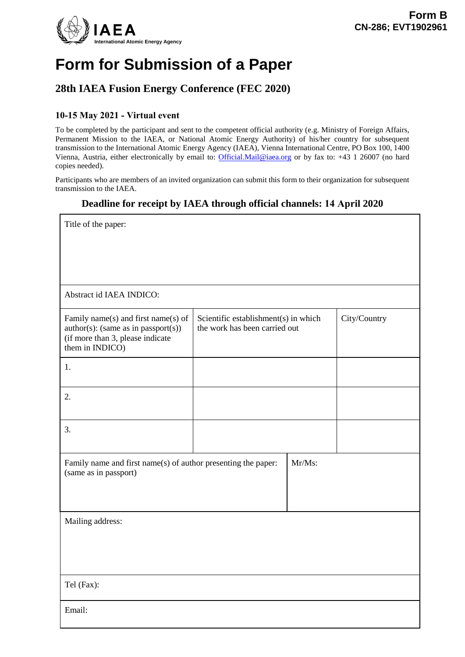

# **Form for Submission of a Paper**

## **28th IAEA Fusion Energy Conference (FEC 2020)**

### **10-15 May 2021 - Virtual event**

To be completed by the participant and sent to the competent official authority (e.g. Ministry of Foreign Affairs, Permanent Mission to the IAEA, or National Atomic Energy Authority) of his/her country for subsequent transmission to the International Atomic Energy Agency (IAEA), Vienna International Centre, PO Box 100, 1400 Vienna, Austria, either electronically by email to: [Official.Mail@iaea.org](mailto:official.mail@iaea.org) or by fax to: +43 1 26007 (no hard copies needed).

Participants who are members of an invited organization can submit this form to their organization for subsequent transmission to the IAEA.

### **Deadline for receipt by IAEA through official channels: 14 April 2020**

| Title of the paper:                                                                                                                  |                                                                       |        |              |
|--------------------------------------------------------------------------------------------------------------------------------------|-----------------------------------------------------------------------|--------|--------------|
|                                                                                                                                      |                                                                       |        |              |
|                                                                                                                                      |                                                                       |        |              |
| Abstract id IAEA INDICO:                                                                                                             |                                                                       |        |              |
| Family name(s) and first name(s) of<br>$author(s)$ : (same as in passport(s))<br>(if more than 3, please indicate<br>them in INDICO) | Scientific establishment(s) in which<br>the work has been carried out |        | City/Country |
| 1.                                                                                                                                   |                                                                       |        |              |
| 2.                                                                                                                                   |                                                                       |        |              |
| 3.                                                                                                                                   |                                                                       |        |              |
| Family name and first name(s) of author presenting the paper:<br>(same as in passport)                                               |                                                                       | Mr/Ms: |              |
|                                                                                                                                      |                                                                       |        |              |
| Mailing address:                                                                                                                     |                                                                       |        |              |
|                                                                                                                                      |                                                                       |        |              |
| Tel (Fax):                                                                                                                           |                                                                       |        |              |
| Email:                                                                                                                               |                                                                       |        |              |